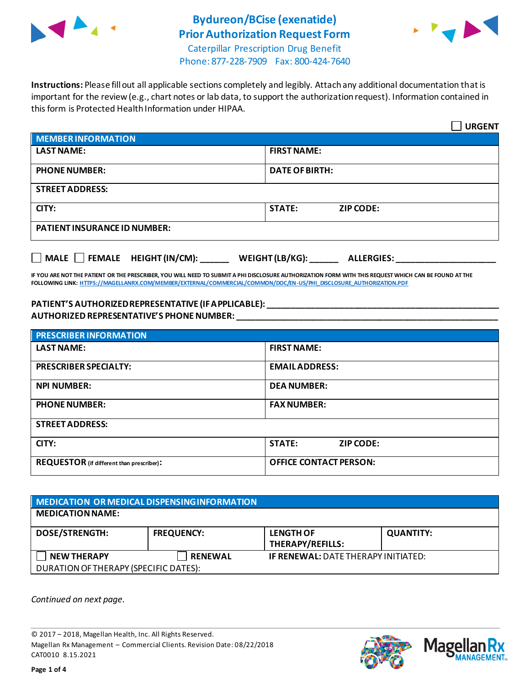

# **Bydureon/BCise (exenatide) Prior Authorization Request Form**



Caterpillar Prescription Drug Benefit Phone: 877-228-7909 Fax: 800-424-7640

**Instructions:** Please fill out all applicable sections completely and legibly. Attach any additional documentation that is important for the review (e.g., chart notes or lab data, to support the authorization request). Information contained in this form is Protected Health Information under HIPAA.

|                                           | <b>URGENT</b>                        |
|-------------------------------------------|--------------------------------------|
| <b>MEMBER INFORMATION</b>                 |                                      |
| <b>LAST NAME:</b>                         | <b>FIRST NAME:</b>                   |
| <b>PHONE NUMBER:</b>                      | <b>DATE OF BIRTH:</b>                |
| <b>STREET ADDRESS:</b>                    |                                      |
| CITY:                                     | <b>STATE:</b><br><b>ZIP CODE:</b>    |
| <b>PATIENT INSURANCE ID NUMBER:</b>       |                                      |
| $\Box$ MALE $\Box$ FEMALE HEIGHT (IN/CM): | WEIGHT (LB/KG):<br><b>ALLERGIES:</b> |

**IF YOU ARE NOT THE PATIENT OR THE PRESCRIBER, YOU WILL NEED TO SUBMIT A PHI DISCLOSURE AUTHORIZATION FORM WITH THIS REQUEST WHICH CAN BE FOUND AT THE FOLLOWING LINK[: HTTPS://MAGELLANRX.COM/MEMBER/EXTERNAL/COMMERCIAL/COMMON/DOC/EN-US/PHI\\_DISCLOSURE\\_AUTHORIZATION.PDF](https://magellanrx.com/member/external/commercial/common/doc/en-us/PHI_Disclosure_Authorization.pdf)**

#### **PATIENT'S AUTHORIZED REPRESENTATIVE (IF APPLICABLE): \_\_\_\_\_\_\_\_\_\_\_\_\_\_\_\_\_\_\_\_\_\_\_\_\_\_\_\_\_\_\_\_\_\_\_\_\_\_\_\_\_\_\_\_\_\_\_\_\_ AUTHORIZED REPRESENTATIVE'S PHONE NUMBER: \_\_\_\_\_\_\_\_\_\_\_\_\_\_\_\_\_\_\_\_\_\_\_\_\_\_\_\_\_\_\_\_\_\_\_\_\_\_\_\_\_\_\_\_\_\_\_\_\_\_\_\_\_\_\_**

| <b>PRESCRIBER INFORMATION</b>             |                                   |
|-------------------------------------------|-----------------------------------|
| <b>LAST NAME:</b>                         | <b>FIRST NAME:</b>                |
| <b>PRESCRIBER SPECIALTY:</b>              | <b>EMAIL ADDRESS:</b>             |
| <b>NPI NUMBER:</b>                        | <b>DEA NUMBER:</b>                |
| <b>PHONE NUMBER:</b>                      | <b>FAX NUMBER:</b>                |
| <b>STREET ADDRESS:</b>                    |                                   |
| CITY:                                     | <b>STATE:</b><br><b>ZIP CODE:</b> |
| REQUESTOR (if different than prescriber): | <b>OFFICE CONTACT PERSON:</b>     |

| <b>MEDICATION OR MEDICAL DISPENSING INFORMATION</b> |                   |                                            |                  |
|-----------------------------------------------------|-------------------|--------------------------------------------|------------------|
| <b>MEDICATION NAME:</b>                             |                   |                                            |                  |
| <b>DOSE/STRENGTH:</b>                               | <b>FREQUENCY:</b> | <b>LENGTH OF</b><br>THERAPY/REFILLS:       | <b>QUANTITY:</b> |
| <b>NEW THERAPY</b>                                  | <b>RENEWAL</b>    | <b>IF RENEWAL: DATE THERAPY INITIATED:</b> |                  |
| DURATION OF THERAPY (SPECIFIC DATES):               |                   |                                            |                  |

*Continued on next page.*

© 2017 – 2018, Magellan Health, Inc. All Rights Reserved. Magellan Rx Management – Commercial Clients. Revision Date: 08/22/2018 CAT0010 8.15.2021



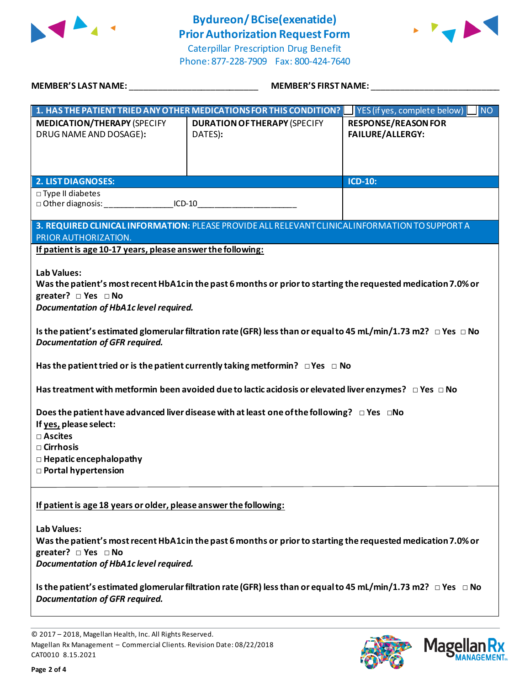

### **Bydureon/BCise(exenatide) Prior Authorization Request Form**





| MEMBER'S LAST NAME: NAME AND A SERIES AND A SERIES OF STREET AND A STREET AND A STREET AND A STREET AND A STRE    | <b>MEMBER'S FIRST NAME:</b>                                                                                                                                                                                      |                                                       |  |
|-------------------------------------------------------------------------------------------------------------------|------------------------------------------------------------------------------------------------------------------------------------------------------------------------------------------------------------------|-------------------------------------------------------|--|
|                                                                                                                   | 1. HAS THE PATIENT TRIED ANY OTHER MEDICATIONS FOR THIS CONDITION?                                                                                                                                               | YES (if yes, complete below)<br><b>NO</b>             |  |
| <b>MEDICATION/THERAPY (SPECIFY</b><br>DRUG NAME AND DOSAGE):                                                      | <b>DURATION OF THERAPY (SPECIFY</b><br>DATES):                                                                                                                                                                   | <b>RESPONSE/REASON FOR</b><br><b>FAILURE/ALLERGY:</b> |  |
| <b>2. LIST DIAGNOSES:</b>                                                                                         |                                                                                                                                                                                                                  | ICD-10:                                               |  |
| $\square$ Type II diabetes<br>□ Other diagnosis: ___________________ICD-10___________________________________     |                                                                                                                                                                                                                  |                                                       |  |
| PRIOR AUTHORIZATION.<br>If patient is age 10-17 years, please answer the following:<br><b>Lab Values:</b>         | 3. REQUIRED CLINICAL INFORMATION: PLEASE PROVIDE ALL RELEVANT CLINICAL INFORMATION TO SUPPORT A<br>Was the patient's most recent HbA1cin the past 6 months or prior to starting the requested medication 7.0% or |                                                       |  |
| greater? $\Box$ Yes $\Box$ No<br>Documentation of HbA1c level required.                                           |                                                                                                                                                                                                                  |                                                       |  |
| <b>Documentation of GFR required.</b>                                                                             | Is the patient's estimated glomerular filtration rate (GFR) less than or equal to 45 mL/min/1.73 m2? $\Box$ Yes $\Box$ No                                                                                        |                                                       |  |
|                                                                                                                   | Has the patient tried or is the patient currently taking metformin? $\Box$ Yes $\Box$ No<br>Has treatment with metformin been avoided due to lactic acidosis or elevated liver enzymes? $\Box$ Yes $\Box$ No     |                                                       |  |
| If yes, please select:<br>□ Ascites<br>$\Box$ Cirrhosis<br>$\Box$ Hepatic encephalopathy<br>□ Portal hypertension | Does the patient have advanced liver disease with at least one of the following? $\Box$ Yes $\Box$ No                                                                                                            |                                                       |  |
| If patient is age 18 years or older, please answer the following:                                                 |                                                                                                                                                                                                                  |                                                       |  |
| <b>Lab Values:</b><br>greater? $\Box$ Yes $\Box$ No<br>Documentation of HbA1c level required.                     | Was the patient's most recent HbA1cin the past 6 months or prior to starting the requested medication 7.0% or                                                                                                    |                                                       |  |
| <b>Documentation of GFR required.</b>                                                                             | Is the patient's estimated glomerular filtration rate (GFR) less than or equal to 45 mL/min/1.73 m2? $\Box$ Yes $\Box$ No                                                                                        |                                                       |  |

© 2017 – 2018, Magellan Health, Inc. All Rights Reserved. Magellan Rx Management – Commercial Clients. Revision Date: 08/22/2018 CAT0010 8.15.2021



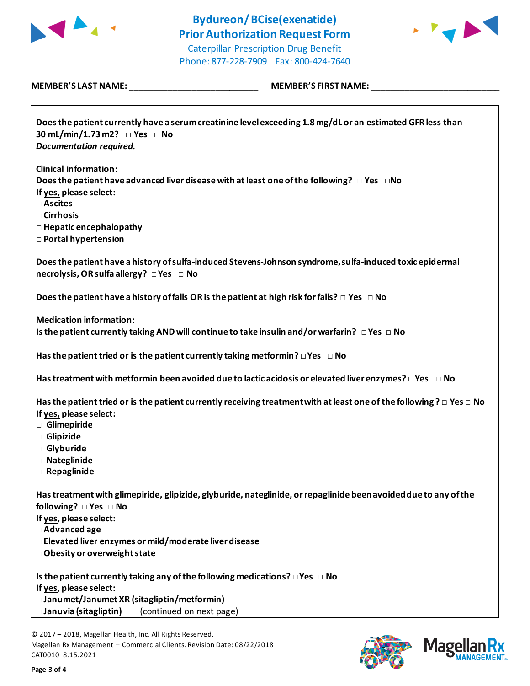

# **Bydureon/BCise(exenatide) Prior Authorization Request Form**



 $\overline{\phantom{a}}$ 

Caterpillar Prescription Drug Benefit Phone: 877-228-7909 Fax: 800-424-7640

### **MEMBER'S LAST NAME:** \_\_\_\_\_\_\_\_\_\_\_\_\_\_\_\_\_\_\_\_\_\_\_\_\_\_\_ **MEMBER'S FIRST NAME:** \_\_\_\_\_\_\_\_\_\_\_\_\_\_\_\_\_\_\_\_\_\_\_\_\_\_\_

Г

| Does the patient currently have a serum creatinine level exceeding 1.8 mg/dL or an estimated GFR less than<br>30 mL/min/1.73 m2? □ Yes □ No<br><b>Documentation required.</b>                                                                    |
|--------------------------------------------------------------------------------------------------------------------------------------------------------------------------------------------------------------------------------------------------|
| <b>Clinical information:</b><br>Does the patient have advanced liver disease with at least one of the following? $\Box$ Yes $\Box$ No<br>If yes, please select:<br>$\square$ Ascites<br>$\square$ Cirrhosis                                      |
| $\Box$ Hepatic encephalopathy<br><b>D</b> Portal hypertension                                                                                                                                                                                    |
| Does the patient have a history of sulfa-induced Stevens-Johnson syndrome, sulfa-induced toxic epidermal<br>necrolysis, OR sulfa allergy? □ Yes □ No                                                                                             |
| Does the patient have a history of falls OR is the patient at high risk for falls? $\Box$ Yes $\Box$ No                                                                                                                                          |
| <b>Medication information:</b><br>Is the patient currently taking AND will continue to take insulin and/or warfarin? $\Box$ Yes $\Box$ No                                                                                                        |
| Has the patient tried or is the patient currently taking metformin? $\Box$ Yes $\Box$ No                                                                                                                                                         |
| Has treatment with metformin been avoided due to lactic acidosis or elevated liver enzymes? $\Box$ Yes $\Box$ No                                                                                                                                 |
| Has the patient tried or is the patient currently receiving treatment with at least one of the following? $\Box$ Yes $\Box$ No<br>If yes, please select:<br>Glimepiride<br>Glipizide<br>□ Glyburide<br>□ Nateglinide<br>$\Box$ Repaglinide       |
| Has treatment with glimepiride, glipizide, glyburide, nateglinide, or repaglinide been avoided due to any of the<br>following? □ Yes □ No<br>If yes, please select:<br>□ Advanced age<br>□ Elevated liver enzymes or mild/moderate liver disease |
| □ Obesity or overweight state                                                                                                                                                                                                                    |
| Is the patient currently taking any of the following medications? $\square$ Yes $\square$ No<br>If yes, please select:<br>□ Janumet/Janumet XR (sitagliptin/metformin)<br>$\square$ Januvia (sitagliptin)<br>(continued on next page)            |



<sup>© 2017</sup> – 2018, Magellan Health, Inc. All Rights Reserved. Magellan Rx Management – Commercial Clients. Revision Date: 08/22/2018 CAT0010 8.15.2021